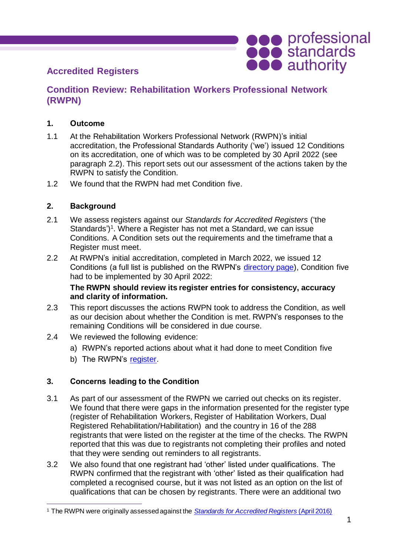

# **Accredited Registers**

## **Condition Review: Rehabilitation Workers Professional Network (RWPN)**

#### **1. Outcome**

- 1.1 At the Rehabilitation Workers Professional Network (RWPN)'s initial accreditation, the Professional Standards Authority ('we') issued 12 Conditions on its accreditation, one of which was to be completed by 30 April 2022 (see paragraph 2.2). This report sets out our assessment of the actions taken by the RWPN to satisfy the Condition.
- 1.2 We found that the RWPN had met Condition five.

#### **2. Background**

- 2.1 We assess registers against our *Standards for Accredited Registers* ('the Standards')<sup>1</sup>. Where a Register has not met a Standard, we can issue Conditions. A Condition sets out the requirements and the timeframe that a Register must meet.
- 2.2 At RWPN's initial accreditation, completed in March 2022, we issued 12 Conditions (a full list is published on the RWPN's [directory page\)](https://www.professionalstandards.org.uk/what-we-do/accredited-registers/find-a-register/detail/rehabilitation-workers-professional-network), Condition five had to be implemented by 30 April 2022:

#### **The RWPN should review its register entries for consistency, accuracy and clarity of information.**

- 2.3 This report discusses the actions RWPN took to address the Condition, as well as our decision about whether the Condition is met. RWPN's responses to the remaining Conditions will be considered in due course.
- 2.4 We reviewed the following evidence:
	- a) RWPN's reported actions about what it had done to meet Condition five
	- b) The RWPN's [register.](https://www.rwpn.org.uk/page-18124)

### **3. Concerns leading to the Condition**

- 3.1 As part of our assessment of the RWPN we carried out checks on its register. We found that there were gaps in the information presented for the register type (register of Rehabilitation Workers, Register of Habilitation Workers, Dual Registered Rehabilitation/Habilitation) and the country in 16 of the 288 registrants that were listed on the register at the time of the checks. The RWPN reported that this was due to registrants not completing their profiles and noted that they were sending out reminders to all registrants.
- 3.2 We also found that one registrant had 'other' listed under qualifications. The RWPN confirmed that the registrant with 'other' listed as their qualification had completed a recognised course, but it was not listed as an option on the list of qualifications that can be chosen by registrants. There were an additional two

<sup>1</sup> The RWPN were originally assessed against the *[Standards for Accredited Registers](https://www.professionalstandards.org.uk/docs/default-source/accredited-registers/standards-for-accredited-registers/standards-for-accredited-registers-2016.pdf?sfvrsn=cfae4820_4)* (April 2016)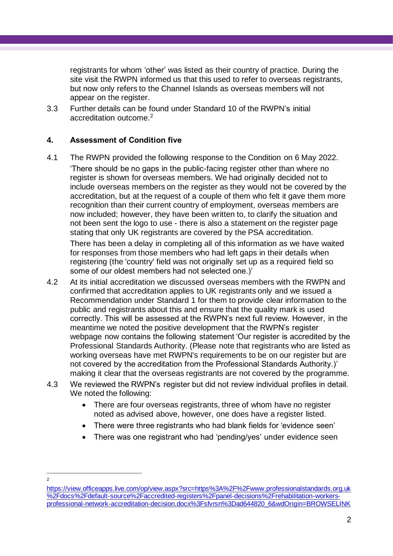registrants for whom 'other' was listed as their country of practice. During the site visit the RWPN informed us that this used to refer to overseas registrants, but now only refers to the Channel Islands as overseas members will not appear on the register.

3.3 Further details can be found under Standard 10 of the RWPN's initial accreditation outcome. 2

#### **4. Assessment of Condition five**

4.1 The RWPN provided the following response to the Condition on 6 May 2022. 'There should be no gaps in the public-facing register other than where no register is shown for overseas members. We had originally decided not to include overseas members on the register as they would not be covered by the accreditation, but at the request of a couple of them who felt it gave them more recognition than their current country of employment, overseas members are now included; however, they have been written to, to clarify the situation and not been sent the logo to use - there is also a statement on the register page stating that only UK registrants are covered by the PSA accreditation.

There has been a delay in completing all of this information as we have waited for responses from those members who had left gaps in their details when registering (the 'country' field was not originally set up as a required field so some of our oldest members had not selected one.)'

- 4.2 At its initial accreditation we discussed overseas members with the RWPN and confirmed that accreditation applies to UK registrants only and we issued a Recommendation under Standard 1 for them to provide clear information to the public and registrants about this and ensure that the quality mark is used correctly. This will be assessed at the RWPN's next full review. However, in the meantime we noted the positive development that the RWPN's register webpage now contains the following statement 'Our register is accredited by the Professional Standards Authority. (Please note that registrants who are listed as working overseas have met RWPN's requirements to be on our register but are not covered by the accreditation from the Professional Standards Authority.)' making it clear that the overseas registrants are not covered by the programme.
- 4.3 We reviewed the RWPN's register but did not review individual profiles in detail. We noted the following:
	- There are four overseas registrants, three of whom have no register noted as advised above, however, one does have a register listed.
	- There were three registrants who had blank fields for 'evidence seen'
	- There was one registrant who had 'pending/yes' under evidence seen
- $\mathfrak{p}$

[https://view.officeapps.live.com/op/view.aspx?src=https%3A%2F%2Fwww.professionalstandards.org.uk](https://view.officeapps.live.com/op/view.aspx?src=https%3A%2F%2Fwww.professionalstandards.org.uk%2Fdocs%2Fdefault-source%2Faccredited-registers%2Fpanel-decisions%2Frehabilitation-workers-professional-network-accreditation-decision.docx%3Fsfvrsn%3Dad644820_6&wdOrigin=BROWSELINK) [%2Fdocs%2Fdefault-source%2Faccredited-registers%2Fpanel-decisions%2Frehabilitation-workers](https://view.officeapps.live.com/op/view.aspx?src=https%3A%2F%2Fwww.professionalstandards.org.uk%2Fdocs%2Fdefault-source%2Faccredited-registers%2Fpanel-decisions%2Frehabilitation-workers-professional-network-accreditation-decision.docx%3Fsfvrsn%3Dad644820_6&wdOrigin=BROWSELINK)[professional-network-accreditation-decision.docx%3Fsfvrsn%3Dad644820\\_6&wdOrigin=BROWSELINK](https://view.officeapps.live.com/op/view.aspx?src=https%3A%2F%2Fwww.professionalstandards.org.uk%2Fdocs%2Fdefault-source%2Faccredited-registers%2Fpanel-decisions%2Frehabilitation-workers-professional-network-accreditation-decision.docx%3Fsfvrsn%3Dad644820_6&wdOrigin=BROWSELINK)